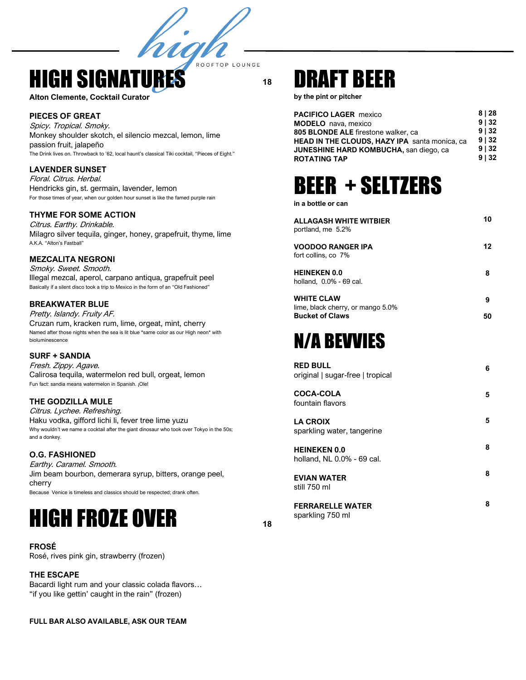**18**

ROOFTOP LOUNGE

## **HIGH SIGNATU**

**Alton Clemente, Cocktail Curator**

### **PIECES OF GREAT**

Spicy. Tropical. Smoky. Monkey shoulder skotch, el silencio mezcal, lemon, lime passion fruit, jalapeño The Drink lives on. Throwback to '62, local haunt's classical Tiki cocktail, "Pieces of Eight."

hig

#### **LAVENDER SUNSET**

Floral. Citrus. Herbal. Hendricks gin, st. germain, lavender, lemon For those times of year, when our golden hour sunset is like the famed purple rain

### **THYME FOR SOME ACTION**

Citrus. Earthy. Drinkable. Milagro silver tequila, ginger, honey, grapefruit, thyme, lime A.K.A. "Alton's Fastball"

#### **MEZCALITA NEGRONI**

Smoky. Sweet. Smooth. Illegal mezcal, aperol, carpano antiqua, grapefruit peel Basically if a silent disco took a trip to Mexico in the form of an "Old Fashioned"

### **BREAKWATER BLUE**

Pretty. Islandy. Fruity AF. Cruzan rum, kracken rum, lime, orgeat, mint, cherry Named after those nights when the sea is lit blue \*same color as our High neon\* with bioluminescence

**SURF + SANDIA** Fresh. Zippy. Agave. Calirosa tequila, watermelon red bull, orgeat, lemon Fun fact: sandia means watermelon in Spanish. ¡Ole!

### **THE GODZILLA MULE**

Citrus. Lychee. Refreshing. Haku vodka, gifford lichi li, fever tree lime yuzu Why wouldn't we name a cocktail after the giant dinosaur who took over Tokyo in the 50s; and a donkey.

#### **O.G. FASHIONED**

Earthy. Caramel. Smooth. Jim beam bourbon, demerara syrup, bitters, orange peel, cherry Because Venice is timeless and classics should be respected; drank often.

# HIGH FROZE OVER

**FROSÉ** Rosé, rives pink gin, strawberry (frozen)

#### **THE ESCAPE**

Bacardi light rum and your classic colada flavors… "if you like gettin' caught in the rain" (frozen)

**FULL BAR ALSO AVAILABLE, ASK OUR TEAM**

## DRAFT BEER

**by the pint or pitcher**

| 8   28 |
|--------|
| 9132   |
| 9132   |
| 9132   |
| 9   32 |
| 9132   |
|        |

## BEER + SELTZERS

**in a bottle or can**

| <b>ALLAGASH WHITE WITBIER</b><br>portland, me 5.2%                               | 10      |
|----------------------------------------------------------------------------------|---------|
| <b>VOODOO RANGER IPA</b><br>fort collins, co 7%                                  | 12      |
| <b>HEINEKEN 0.0</b><br>holland. 0.0% - 69 cal.                                   | 8       |
| <b>WHITE CLAW</b><br>lime, black cherry, or mango 5.0%<br><b>Bucket of Claws</b> | 9<br>50 |
| <b>N/A BEVVIES</b>                                                               |         |
| <b>RED BULL</b><br>original   sugar-free   tropical                              | 6       |
| <b>COCA-COLA</b><br>fountain flavors                                             | 5       |
| <b>LA CROIX</b><br>sparkling water, tangerine                                    | 5       |
| <b>HEINEKEN 0 0</b>                                                              | 8       |

| HEINEKEN 0.0               |  |
|----------------------------|--|
| holland, NL 0.0% - 69 cal. |  |
|                            |  |

**EVIAN WATER**  still 750 ml

**FERRARELLE WATER**  sparkling 750 ml

**8**

**18**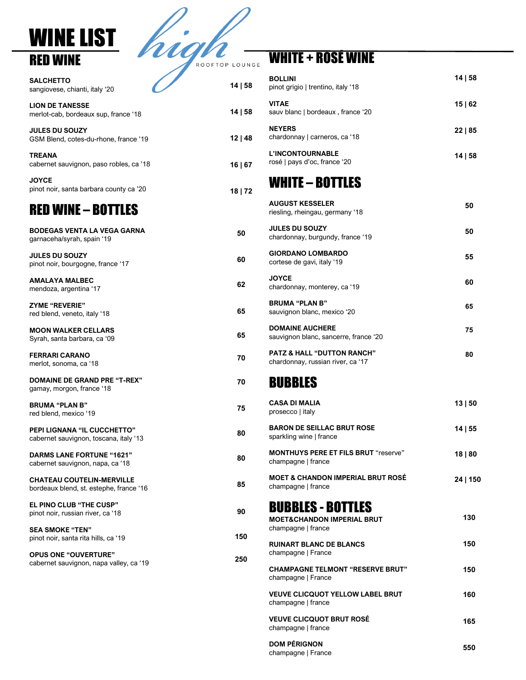### WINE LIST RED WINE

| ROOFTOP LOUNGE |  |
|----------------|--|
|                |  |

| (S<br><b>SALCHETTO</b><br>sangiovese, chianti, italy '20                     | 14   58 |
|------------------------------------------------------------------------------|---------|
| <b>LION DE TANESSE</b><br>merlot-cab, bordeaux sup, france '18               | 14   58 |
| <b>JULES DU SOUZY</b><br>GSM Blend, cotes-du-rhone, france '19               | 12 48   |
| <b>TREANA</b><br>cabernet sauvignon, paso robles, ca '18                     | 16   67 |
| <b>JOYCE</b><br>pinot noir, santa barbara county ca '20                      | 18   72 |
| <b>RED WINE - BOTTLES</b>                                                    |         |
| <b>BODEGAS VENTA LA VEGA GARNA</b><br>garnaceha/syrah, spain '19             | 50      |
| <b>JULES DU SOUZY</b><br>pinot noir, bourgogne, france '17                   | 60      |
| <b>AMALAYA MALBEC</b><br>mendoza, argentina '17                              | 62      |
| <b>ZYME "REVERIE"</b><br>red blend, veneto, italy '18                        | 65      |
| <b>MOON WALKER CELLARS</b><br>Syrah, santa barbara, ca '09                   | 65      |
| <b>FERRARI CARANO</b><br>merlot, sonoma, ca '18                              | 70      |
| DOMAINE DE GRAND PRE "T-REX"<br>gamay, morgon, france '18                    | 70      |
| <b>BRUMA "PLAN B"</b><br>red blend, mexico '19                               | 75      |
| <b>PEPI LIGNANA "IL CUCCHETTO"</b><br>cabernet sauvignon, toscana, italy '13 | 80      |
| <b>DARMS LANE FORTUNE "1621"</b><br>cabernet sauvignon, napa, ca '18         | 80      |
| <b>CHATEAU COUTELIN-MERVILLE</b><br>bordeaux blend, st. estephe, france '16  | 85      |
| <b>EL PINO CLUB "THE CUSP"</b><br>pinot noir, russian river, ca '18          | 90      |
| <b>SEA SMOKE "TEN"</b><br>pinot noir, santa rita hills, ca '19               | 150     |
| <b>OPUS ONE "OUVERTURE"</b>                                                  |         |

cabernet sauvignon, napa valley, ca '19

**250**

### WHITE + ROSÉ WINE

| <b>BOLLINI</b><br>pinot grigio   trentino, italy '18                                    | 14   58  |
|-----------------------------------------------------------------------------------------|----------|
| <b>VITAE</b><br>sauv blanc   bordeaux, france '20                                       | 15   62  |
| <b>NEYERS</b><br>chardonnay   carneros, ca '18                                          | 22   85  |
| <b>L'INCONTOURNABLE</b><br>rosé   pays d'oc, france '20                                 | 14   58  |
| <b>WHITE – BOTTLES</b>                                                                  |          |
| <b>AUGUST KESSELER</b><br>riesling, rheingau, germany '18                               | 50       |
| <b>JULES DU SOUZY</b><br>chardonnay, burgundy, france '19                               | 50       |
| <b>GIORDANO LOMBARDO</b><br>cortese de gavi, italy '19                                  | 55       |
| <b>JOYCE</b><br>chardonnay, monterey, ca '19                                            | 60       |
| <b>BRUMA "PLAN B"</b><br>sauvignon blanc, mexico '20                                    | 65       |
| <b>DOMAINE AUCHERE</b><br>sauvignon blanc, sancerre, france '20                         | 75       |
| PATZ & HALL "DUTTON RANCH"<br>chardonnay, russian river, ca '17                         | 80       |
| <b>BUBBLES</b>                                                                          |          |
| <b>CASA DI MALIA</b><br>prosecco   italy                                                | 13   50  |
| <b>BARON DE SEILLAC BRUT ROSE</b><br>sparkling wine   france                            | 14   55  |
| <b>MONTHUYS PERE ET FILS BRUT</b> "reserve"<br>champagne   france                       | 18   80  |
| <b>MOET &amp; CHANDON IMPERIAL BRUT ROSÉ</b><br>champagne   france                      | 24   150 |
| <b>BUBBLES - BOTTLES</b><br><b>MOET&amp;CHANDON IMPERIAL BRUT</b><br>champagne   france | 130      |
| <b>RUINART BLANC DE BLANCS</b><br>champagne   France                                    | 150      |
| <b>CHAMPAGNE TELMONT "RESERVE BRUT"</b><br>champagne   France                           | 150      |
| <b>VEUVE CLICQUOT YELLOW LABEL BRUT</b><br>champagne   france                           | 160      |
| <b>VEUVE CLICQUOT BRUT ROSÉ</b><br>champagne   france                                   | 165      |
| <b>DOM PÉRIGNON</b>                                                                     | ccn      |

champagne | France